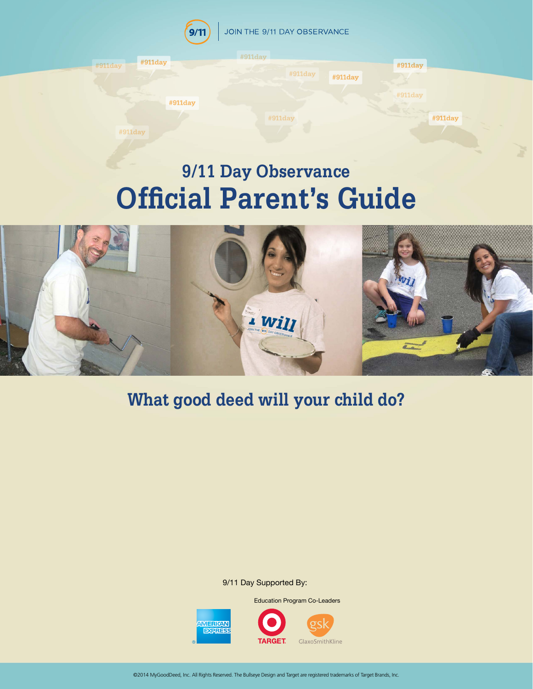

# **9/11 Day Observance Official Parent's Guide**



## **What good deed will your child do?**

9/11 Day Supported By:



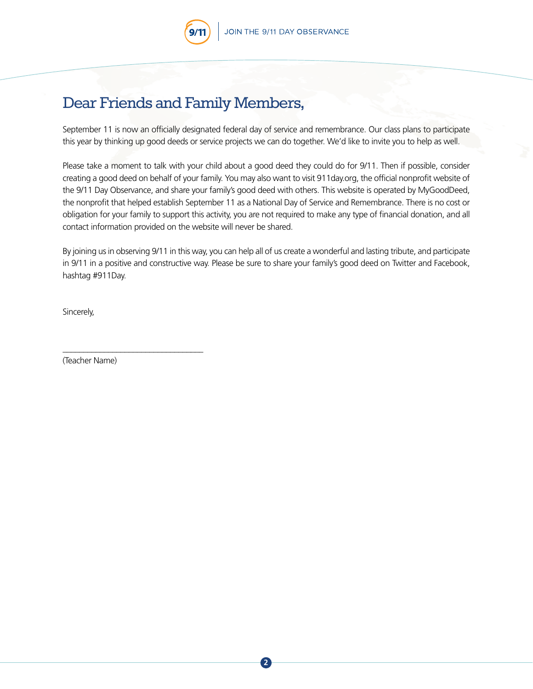### Dear Friends and Family Members,

September 11 is now an officially designated federal day of service and remembrance. Our class plans to participate this year by thinking up good deeds or service projects we can do together. We'd like to invite you to help as well.

Please take a moment to talk with your child about a good deed they could do for 9/11. Then if possible, consider creating a good deed on behalf of your family. You may also want to visit 911day.org, the official nonprofit website of the 9/11 Day Observance, and share your family's good deed with others. This website is operated by MyGoodDeed, the nonprofit that helped establish September 11 as a National Day of Service and Remembrance. There is no cost or obligation for your family to support this activity, you are not required to make any type of financial donation, and all contact information provided on the website will never be shared.

By joining us in observing 9/11 in this way, you can help all of us create a wonderful and lasting tribute, and participate in 9/11 in a positive and constructive way. Please be sure to share your family's good deed on Twitter and Facebook, hashtag #911Day.

Sincerely,

(Teacher Name)

\_\_\_\_\_\_\_\_\_\_\_\_\_\_\_\_\_\_\_\_\_\_\_\_\_\_\_\_\_\_\_\_\_\_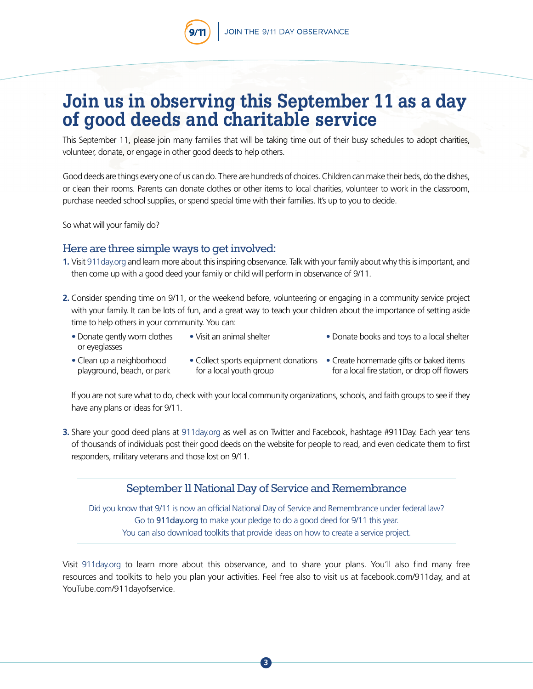## **Join us in observing this September 11 as a day of good deeds and charitable service**

This September 11, please join many families that will be taking time out of their busy schedules to adopt charities, volunteer, donate, or engage in other good deeds to help others.

Good deeds are things every one of us can do. There are hundreds of choices. Children can make their beds, do the dishes, or clean their rooms. Parents can donate clothes or other items to local charities, volunteer to work in the classroom, purchase needed school supplies, or spend special time with their families. It's up to you to decide.

So what will your family do?

#### Here are three simple ways to get involved:

- **1.** Visit [911day.org](http://911day.org) and learn more about this inspiring observance. Talk with your family about why this is important, and then come up with a good deed your family or child will perform in observance of 9/11.
- **2.** Consider spending time on 9/11, or the weekend before, volunteering or engaging in a community service project with your family. It can be lots of fun, and a great way to teach your children about the importance of setting aside time to help others in your community. You can:
	- Donate gently worn clothes or eyeglasses
- Visit an animal shelter Donate books and toys to a local shelter
- Clean up a neighborhood playground, beach, or park
- for a local youth group
- Collect sports equipment donations Create homemade gifts or baked items for a local fire station, or drop off flowers

 If you are not sure what to do, check with your local community organizations, schools, and faith groups to see if they have any plans or ideas for 9/11.

**3.** Share your good deed plans at [911day.org](http://911day.org) as well as on Twitter and Facebook, hashtage #911Day. Each year tens of thousands of individuals post their good deeds on the website for people to read, and even dedicate them to first responders, military veterans and those lost on 9/11.

#### September 11 National Day of Service and Remembrance

Did you know that 9/11 is now an official National Day of Service and Remembrance under federal law? Go to 911day.org to make your pledge to do a good deed for 9/11 this year. You can also download toolkits that provide ideas on how to create a service project.

Visit [911day.org](http://911day.org) to learn more about this observance, and to share your plans. You'll also find many free resources and toolkits to help you plan your activities. Feel free also to visit us at facebook.com/911day, and at YouTube.com/911dayofservice.